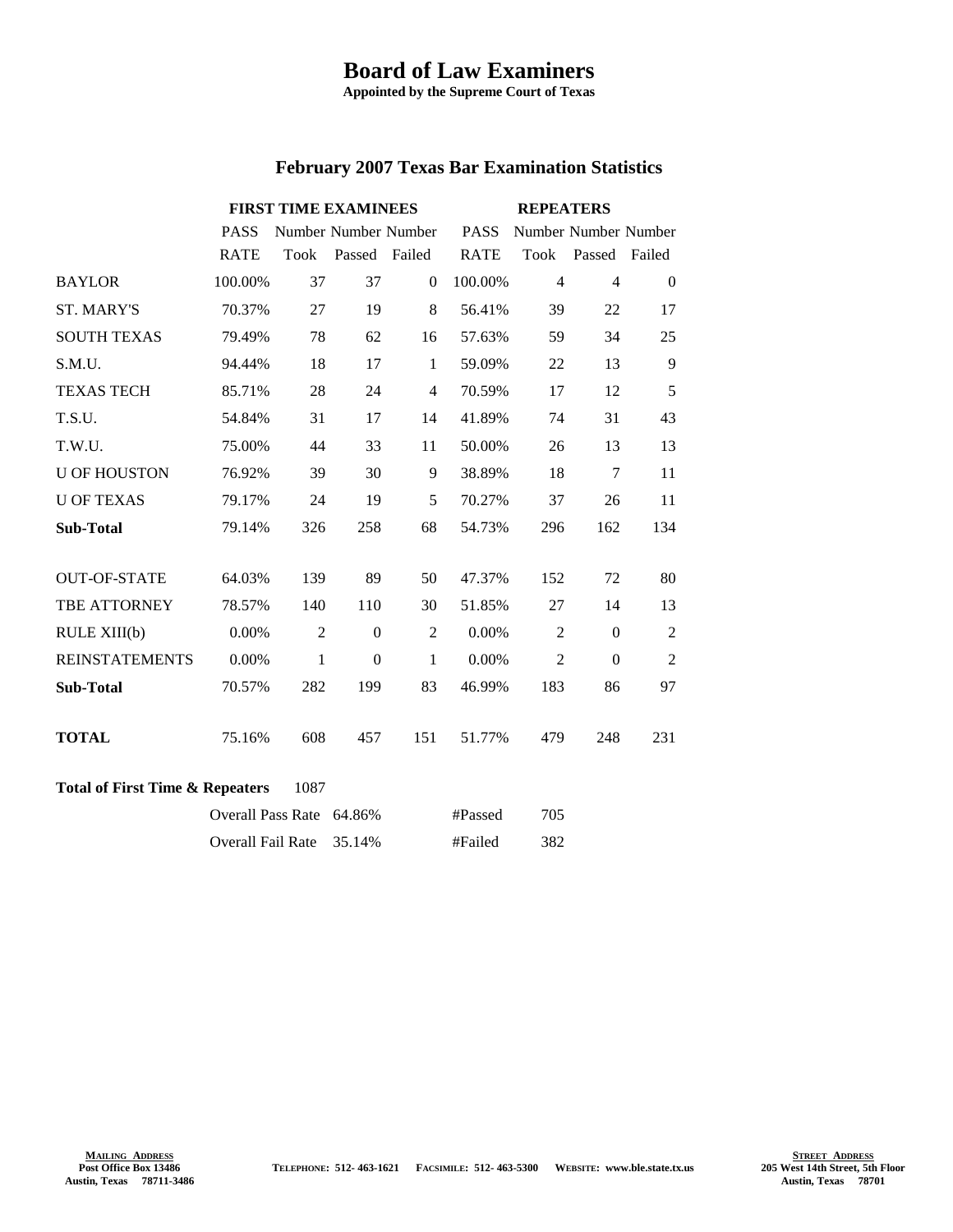## **Board of Law Examiners**

**Appointed by the Supreme Court of Texas**

| <b>February 2007 Texas Bar Examination Statistics</b> |  |  |  |  |
|-------------------------------------------------------|--|--|--|--|
|-------------------------------------------------------|--|--|--|--|

|                       | <b>FIRST TIME EXAMINEES</b> |                |                      | <b>REPEATERS</b> |             |                |                      |                |
|-----------------------|-----------------------------|----------------|----------------------|------------------|-------------|----------------|----------------------|----------------|
|                       | <b>PASS</b>                 |                | Number Number Number |                  | <b>PASS</b> |                | Number Number Number |                |
|                       | <b>RATE</b>                 | Took           | Passed Failed        |                  | <b>RATE</b> | Took           | Passed Failed        |                |
| <b>BAYLOR</b>         | 100.00%                     | 37             | 37                   | $\Omega$         | 100.00%     | $\overline{4}$ | $\overline{4}$       | $\Omega$       |
| <b>ST. MARY'S</b>     | 70.37%                      | 27             | 19                   | 8                | 56.41%      | 39             | 22                   | 17             |
| <b>SOUTH TEXAS</b>    | 79.49%                      | 78             | 62                   | 16               | 57.63%      | 59             | 34                   | 25             |
| S.M.U.                | 94.44%                      | 18             | 17                   | $\mathbf{1}$     | 59.09%      | 22             | 13                   | 9              |
| <b>TEXAS TECH</b>     | 85.71%                      | 28             | 24                   | $\overline{4}$   | 70.59%      | 17             | 12                   | 5              |
| T.S.U.                | 54.84%                      | 31             | 17                   | 14               | 41.89%      | 74             | 31                   | 43             |
| T.W.U.                | 75.00%                      | 44             | 33                   | 11               | 50.00%      | 26             | 13                   | 13             |
| <b>U OF HOUSTON</b>   | 76.92%                      | 39             | 30                   | 9                | 38.89%      | 18             | 7                    | 11             |
| <b>U OF TEXAS</b>     | 79.17%                      | 24             | 19                   | 5                | 70.27%      | 37             | 26                   | 11             |
| <b>Sub-Total</b>      | 79.14%                      | 326            | 258                  | 68               | 54.73%      | 296            | 162                  | 134            |
|                       |                             |                |                      |                  |             |                |                      |                |
| <b>OUT-OF-STATE</b>   | 64.03%                      | 139            | 89                   | 50               | 47.37%      | 152            | 72                   | 80             |
| TBE ATTORNEY          | 78.57%                      | 140            | 110                  | 30               | 51.85%      | 27             | 14                   | 13             |
| RULE XIII(b)          | 0.00%                       | $\overline{2}$ | $\mathbf{0}$         | $\overline{2}$   | 0.00%       | $\overline{2}$ | $\boldsymbol{0}$     | $\overline{2}$ |
| <b>REINSTATEMENTS</b> | 0.00%                       | 1              | $\Omega$             | $\mathbf{1}$     | 0.00%       | $\overline{2}$ | $\theta$             | $\overline{2}$ |
| <b>Sub-Total</b>      | 70.57%                      | 282            | 199                  | 83               | 46.99%      | 183            | 86                   | 97             |
|                       |                             |                |                      |                  |             |                |                      |                |
| <b>TOTAL</b>          | 75.16%                      | 608            | 457                  | 151              | 51.77%      | 479            | 248                  | 231            |
|                       |                             |                |                      |                  |             |                |                      |                |

## **Total of First Time & Repeaters** 1087

| Overall Pass Rate 64.86% | #Passed | 705 |
|--------------------------|---------|-----|
| Overall Fail Rate 35.14% | #Failed | 382 |